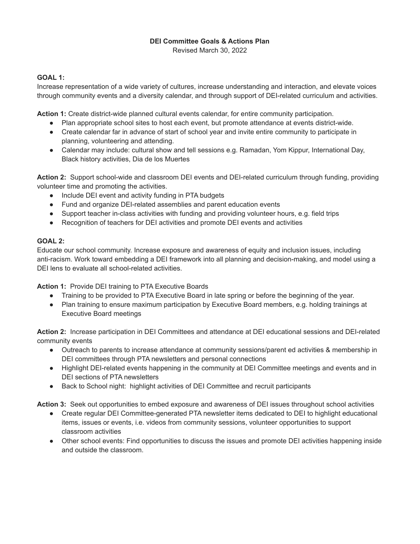## **DEI Committee Goals & Actions Plan**

Revised March 30, 2022

### **GOAL 1:**

Increase representation of a wide variety of cultures, increase understanding and interaction, and elevate voices through community events and a diversity calendar, and through support of DEI-related curriculum and activities.

**Action 1:** Create district-wide planned cultural events calendar, for entire community participation.

- Plan appropriate school sites to host each event, but promote attendance at events district-wide.
- Create calendar far in advance of start of school year and invite entire community to participate in planning, volunteering and attending.
- Calendar may include: cultural show and tell sessions e.g. Ramadan, Yom Kippur, International Day, Black history activities, Dia de los Muertes

**Action 2:** Support school-wide and classroom DEI events and DEI-related curriculum through funding, providing volunteer time and promoting the activities.

- Include DEI event and activity funding in PTA budgets
- Fund and organize DEI-related assemblies and parent education events
- Support teacher in-class activities with funding and providing volunteer hours, e.g. field trips
- Recognition of teachers for DEI activities and promote DEI events and activities

# **GOAL 2:**

Educate our school community. Increase exposure and awareness of equity and inclusion issues, including anti-racism. Work toward embedding a DEI framework into all planning and decision-making, and model using a DEI lens to evaluate all school-related activities.

**Action 1:** Provide DEI training to PTA Executive Boards

- Training to be provided to PTA Executive Board in late spring or before the beginning of the year.
- Plan training to ensure maximum participation by Executive Board members, e.g. holding trainings at Executive Board meetings

**Action 2:** Increase participation in DEI Committees and attendance at DEI educational sessions and DEI-related community events

- Outreach to parents to increase attendance at community sessions/parent ed activities & membership in DEI committees through PTA newsletters and personal connections
- Highlight DEI-related events happening in the community at DEI Committee meetings and events and in DEI sections of PTA newsletters
- Back to School night: highlight activities of DEI Committee and recruit participants

**Action 3:** Seek out opportunities to embed exposure and awareness of DEI issues throughout school activities

- Create regular DEI Committee-generated PTA newsletter items dedicated to DEI to highlight educational items, issues or events, i.e. videos from community sessions, volunteer opportunities to support classroom activities
- Other school events: Find opportunities to discuss the issues and promote DEI activities happening inside and outside the classroom.